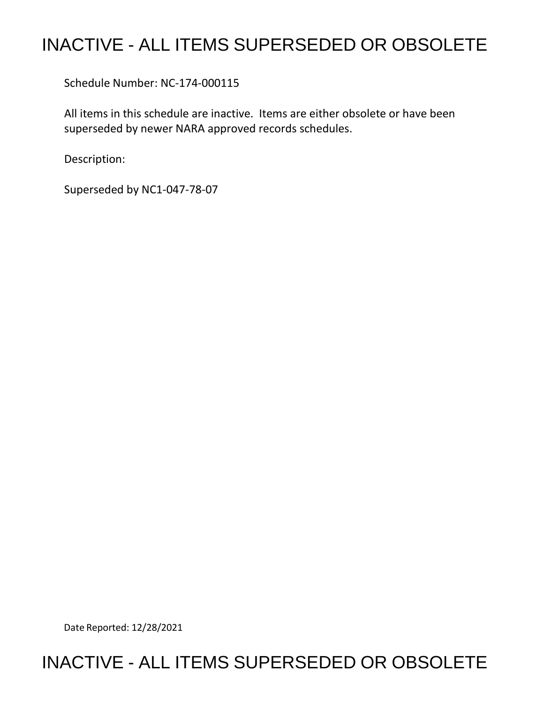## INACTIVE - ALL ITEMS SUPERSEDED OR OBSOLETE

Schedule Number: NC-174-000115

 All items in this schedule are inactive. Items are either obsolete or have been superseded by newer NARA approved records schedules.

Description:

Superseded by NC1-047-78-07

Date Reported: 12/28/2021

## INACTIVE - ALL ITEMS SUPERSEDED OR OBSOLETE